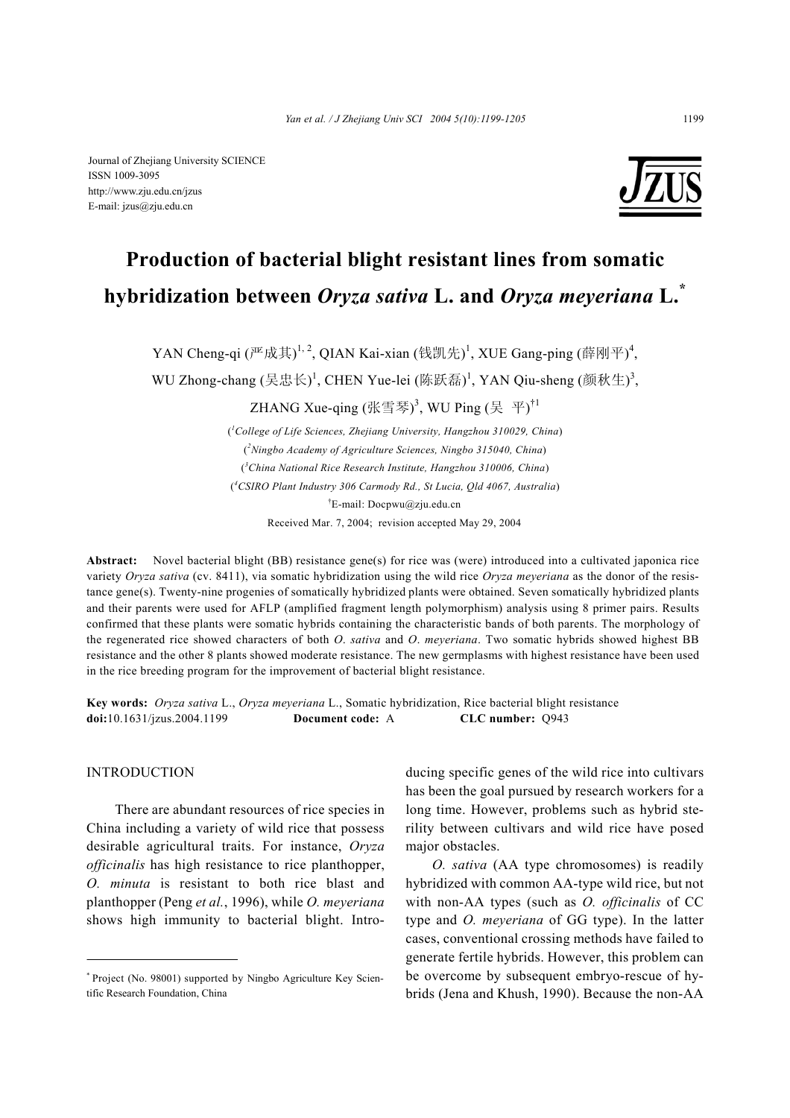Journal of Zhejiang University SCIENCE ISSN 1009-3095 http://www.zju.edu.cn/jzus E-mail: jzus@zju.edu.cn



# **Production of bacterial blight resistant lines from somatic hybridization between** *Oryza sativa* **L. and** *Oryza meyeriana* **L.\***

YAN Cheng-qi  $(\mathbb{P}^{\mathbb{E}}$ 成其) $^{1,\,2}$ , QIAN Kai-xian  $(\mathbb{H}\mathbb{H})^1$ , XUE Gang-ping  $(\mathbb{H}\mathbb{H})^4$ ,

WU Zhong-chang (吴忠长)<sup>1</sup>, CHEN Yue-lei (陈跃磊)<sup>1</sup>, YAN Qiu-sheng (颜秋生)<sup>3</sup>,

ZHANG Xue-qing (张雪琴) $^3$ , WU Ping (吴 平) $^{\dagger1}$ 

( *1 College of Life Sciences, Zhejiang University, Hangzhou 310029, China*) ( *2 Ningbo Academy of Agriculture Sciences, Ningbo 315040, China*) ( *3 China National Rice Research Institute, Hangzhou 310006, China*) ( *4 CSIRO Plant Industry 306 Carmody Rd., St Lucia, Qld 4067, Australia*) † E-mail: Docpwu@zju.edu.cn Received Mar. 7, 2004; revision accepted May 29, 2004

**Abstract:** Novel bacterial blight (BB) resistance gene(s) for rice was (were) introduced into a cultivated japonica rice variety *Oryza sativa* (cv. 8411), via somatic hybridization using the wild rice *Oryza meyeriana* as the donor of the resistance gene(s). Twenty-nine progenies of somatically hybridized plants were obtained. Seven somatically hybridized plants and their parents were used for AFLP (amplified fragment length polymorphism) analysis using 8 primer pairs. Results confirmed that these plants were somatic hybrids containing the characteristic bands of both parents. The morphology of the regenerated rice showed characters of both *O*. *sativa* and *O*. *meyeriana*. Two somatic hybrids showed highest BB resistance and the other 8 plants showed moderate resistance. The new germplasms with highest resistance have been used in the rice breeding program for the improvement of bacterial blight resistance.

**Key words:** *Oryza sativa* L., *Oryza meyeriana* L., Somatic hybridization, Rice bacterial blight resistance **doi:**10.1631/jzus.2004.1199 **Document code:** A **CLC number:** Q943

## INTRODUCTION

There are abundant resources of rice species in China including a variety of wild rice that possess desirable agricultural traits. For instance, *Oryza officinalis* has high resistance to rice planthopper, *O. minuta* is resistant to both rice blast and planthopper (Peng *et al.*, 1996), while *O. meyeriana* shows high immunity to bacterial blight. Introducing specific genes of the wild rice into cultivars has been the goal pursued by research workers for a long time. However, problems such as hybrid sterility between cultivars and wild rice have posed major obstacles.

*O. sativa* (AA type chromosomes) is readily hybridized with common AA-type wild rice, but not with non-AA types (such as *O. officinalis* of CC type and *O. meyeriana* of GG type). In the latter cases, conventional crossing methods have failed to generate fertile hybrids. However, this problem can be overcome by subsequent embryo-rescue of hybrids (Jena and Khush, 1990). Because the non-AA

<sup>\*</sup> Project (No. 98001) supported by Ningbo Agriculture Key Scientific Research Foundation, China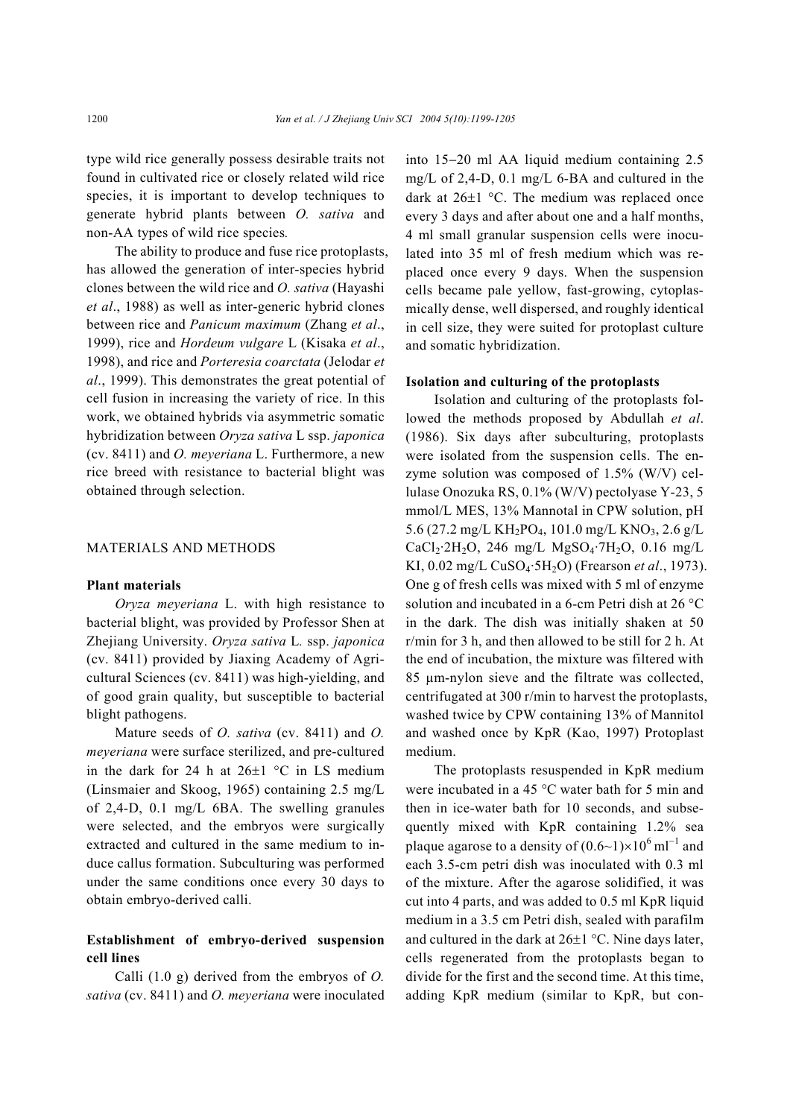type wild rice generally possess desirable traits not found in cultivated rice or closely related wild rice species, it is important to develop techniques to generate hybrid plants between *O. sativa* and non-AA types of wild rice species*.*

The ability to produce and fuse rice protoplasts, has allowed the generation of inter-species hybrid clones between the wild rice and *O. sativa* (Hayashi *et al*., 1988) as well as inter-generic hybrid clones between rice and *Panicum maximum* (Zhang *et al*., 1999), rice and *Hordeum vulgare* L (Kisaka *et al*., 1998), and rice and *Porteresia coarctata* (Jelodar *et al*., 1999). This demonstrates the great potential of cell fusion in increasing the variety of rice. In this work, we obtained hybrids via asymmetric somatic hybridization between *Oryza sativa* L ssp. *japonica*  (cv. 8411) and *O. meyeriana* L. Furthermore, a new rice breed with resistance to bacterial blight was obtained through selection.

## MATERIALS AND METHODS

#### **Plant materials**

*Oryza meyeriana* L. with high resistance to bacterial blight, was provided by Professor Shen at Zhejiang University. *Oryza sativa* L*.* ssp. *japonica*  (cv. 8411) provided by Jiaxing Academy of Agricultural Sciences (cv. 8411) was high-yielding, and of good grain quality, but susceptible to bacterial blight pathogens.

Mature seeds of *O. sativa* (cv. 8411) and *O. meyeriana* were surface sterilized, and pre-cultured in the dark for 24 h at  $26\pm1$  °C in LS medium (Linsmaier and Skoog, 1965) containing 2.5 mg/L of 2,4-D, 0.1 mg/L 6BA. The swelling granules were selected, and the embryos were surgically extracted and cultured in the same medium to induce callus formation. Subculturing was performed under the same conditions once every 30 days to obtain embryo-derived calli.

# **Establishment of embryo-derived suspension cell lines**

Calli (1.0 g) derived from the embryos of *O. sativa* (cv. 8411) and *O. meyeriana* were inoculated into 15−20 ml AA liquid medium containing 2.5 mg/L of 2,4-D, 0.1 mg/L 6-BA and cultured in the dark at 26±1 °C. The medium was replaced once every 3 days and after about one and a half months, 4 ml small granular suspension cells were inoculated into 35 ml of fresh medium which was replaced once every 9 days. When the suspension cells became pale yellow, fast-growing, cytoplasmically dense, well dispersed, and roughly identical in cell size, they were suited for protoplast culture and somatic hybridization.

#### **Isolation and culturing of the protoplasts**

Isolation and culturing of the protoplasts followed the methods proposed by Abdullah *et al*. (1986). Six days after subculturing, protoplasts were isolated from the suspension cells. The enzyme solution was composed of 1.5% (W/V) cellulase Onozuka RS, 0.1% (W/V) pectolyase Y-23, 5 mmol/L MES, 13% Mannotal in CPW solution, pH 5.6 (27.2 mg/L KH<sub>2</sub>PO<sub>4</sub>, 101.0 mg/L KNO<sub>3</sub>, 2.6 g/L  $CaCl_2·2H_2O$ , 246 mg/L MgSO<sub>4</sub>·7H<sub>2</sub>O, 0.16 mg/L KI, 0.02 mg/L CuSO4·5H2O) (Frearson *et al*., 1973). One g of fresh cells was mixed with 5 ml of enzyme solution and incubated in a 6-cm Petri dish at 26 °C in the dark. The dish was initially shaken at 50 r/min for 3 h, and then allowed to be still for 2 h. At the end of incubation, the mixture was filtered with 85 µm-nylon sieve and the filtrate was collected, centrifugated at 300 r/min to harvest the protoplasts, washed twice by CPW containing 13% of Mannitol and washed once by KpR (Kao, 1997) Protoplast medium.

The protoplasts resuspended in KpR medium were incubated in a 45 °C water bath for 5 min and then in ice-water bath for 10 seconds, and subsequently mixed with KpR containing 1.2% sea plaque agarose to a density of  $(0.6~1) \times 10^6$  ml<sup>-1</sup> and each 3.5-cm petri dish was inoculated with 0.3 ml of the mixture. After the agarose solidified, it was cut into 4 parts, and was added to 0.5 ml KpR liquid medium in a 3.5 cm Petri dish, sealed with parafilm and cultured in the dark at 26±1 °C. Nine days later, cells regenerated from the protoplasts began to divide for the first and the second time. At this time, adding KpR medium (similar to KpR, but con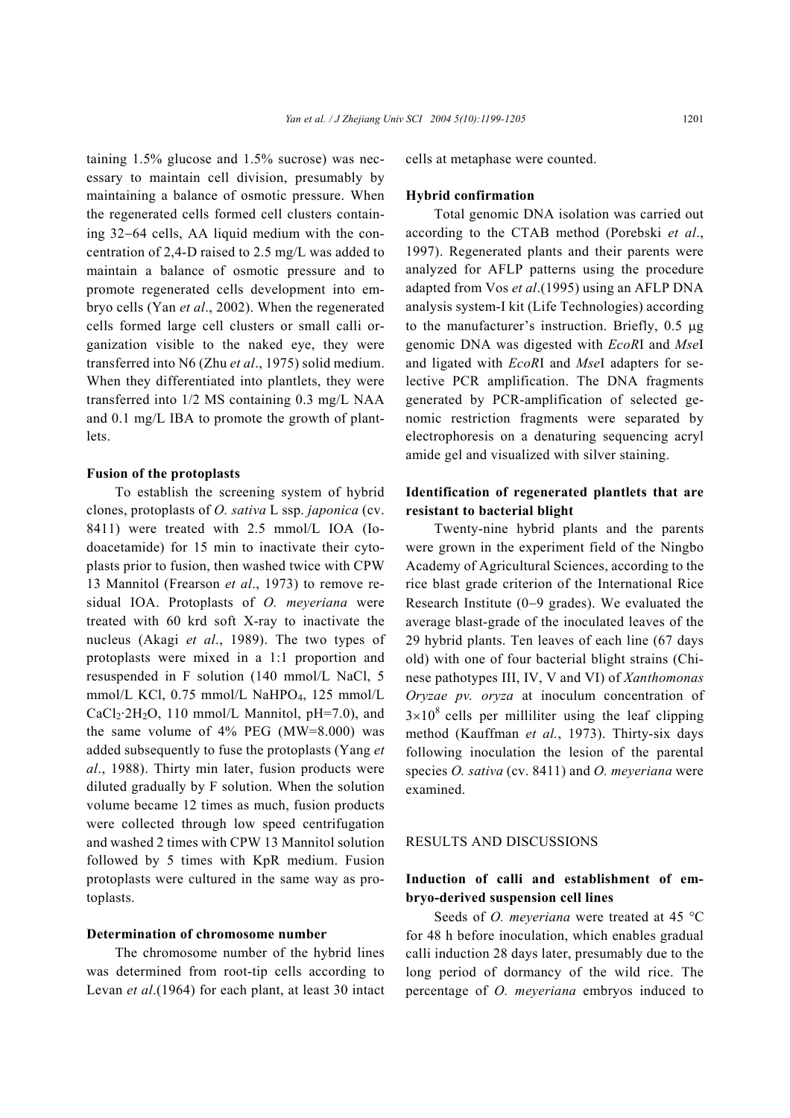taining 1.5% glucose and 1.5% sucrose) was necessary to maintain cell division, presumably by maintaining a balance of osmotic pressure. When the regenerated cells formed cell clusters containing 32−64 cells, AA liquid medium with the concentration of 2,4-D raised to 2.5 mg/L was added to maintain a balance of osmotic pressure and to promote regenerated cells development into embryo cells (Yan *et al*., 2002). When the regenerated cells formed large cell clusters or small calli organization visible to the naked eye, they were transferred into N6 (Zhu *et al*., 1975) solid medium. When they differentiated into plantlets, they were transferred into 1/2 MS containing 0.3 mg/L NAA and 0.1 mg/L IBA to promote the growth of plantlets.

## **Fusion of the protoplasts**

To establish the screening system of hybrid clones, protoplasts of *O. sativa* L ssp. *japonica* (cv. 8411) were treated with 2.5 mmol/L IOA (Iodoacetamide) for 15 min to inactivate their cytoplasts prior to fusion, then washed twice with CPW 13 Mannitol (Frearson *et al*., 1973) to remove residual IOA. Protoplasts of *O. meyeriana* were treated with 60 krd soft X-ray to inactivate the nucleus (Akagi *et al*., 1989). The two types of protoplasts were mixed in a 1:1 proportion and resuspended in F solution (140 mmol/L NaCl, 5 mmol/L KCl, 0.75 mmol/L NaHPO<sub>4</sub>, 125 mmol/L  $CaCl<sub>2</sub>·2H<sub>2</sub>O$ , 110 mmol/L Mannitol, pH=7.0), and the same volume of 4% PEG (MW=8.000) was added subsequently to fuse the protoplasts (Yang *et al*., 1988). Thirty min later, fusion products were diluted gradually by F solution. When the solution volume became 12 times as much, fusion products were collected through low speed centrifugation and washed 2 times with CPW 13 Mannitol solution followed by 5 times with KpR medium. Fusion protoplasts were cultured in the same way as protoplasts.

#### **Determination of chromosome number**

The chromosome number of the hybrid lines was determined from root-tip cells according to Levan *et al*.(1964) for each plant, at least 30 intact cells at metaphase were counted.

## **Hybrid confirmation**

Total genomic DNA isolation was carried out according to the CTAB method (Porebski *et al*., 1997). Regenerated plants and their parents were analyzed for AFLP patterns using the procedure adapted from Vos *et al*.(1995) using an AFLP DNA analysis system-I kit (Life Technologies) according to the manufacturer's instruction. Briefly, 0.5 µg genomic DNA was digested with *EcoR*I and *Mse*I and ligated with *EcoR*I and *Mse*I adapters for selective PCR amplification. The DNA fragments generated by PCR-amplification of selected genomic restriction fragments were separated by electrophoresis on a denaturing sequencing acryl amide gel and visualized with silver staining.

# **Identification of regenerated plantlets that are resistant to bacterial blight**

Twenty-nine hybrid plants and the parents were grown in the experiment field of the Ningbo Academy of Agricultural Sciences, according to the rice blast grade criterion of the International Rice Research Institute (0−9 grades). We evaluated the average blast-grade of the inoculated leaves of the 29 hybrid plants. Ten leaves of each line (67 days old) with one of four bacterial blight strains (Chinese pathotypes III, IV, V and VI) of *Xanthomonas Oryzae pv. oryza* at inoculum concentration of  $3\times10^8$  cells per milliliter using the leaf clipping method (Kauffman *et al.*, 1973). Thirty-six days following inoculation the lesion of the parental species *O. sativa* (cv. 8411) and *O. meyeriana* were examined.

## RESULTS AND DISCUSSIONS

# **Induction of calli and establishment of embryo-derived suspension cell lines**

Seeds of *O. meyeriana* were treated at 45 °C for 48 h before inoculation, which enables gradual calli induction 28 days later, presumably due to the long period of dormancy of the wild rice. The percentage of *O. meyeriana* embryos induced to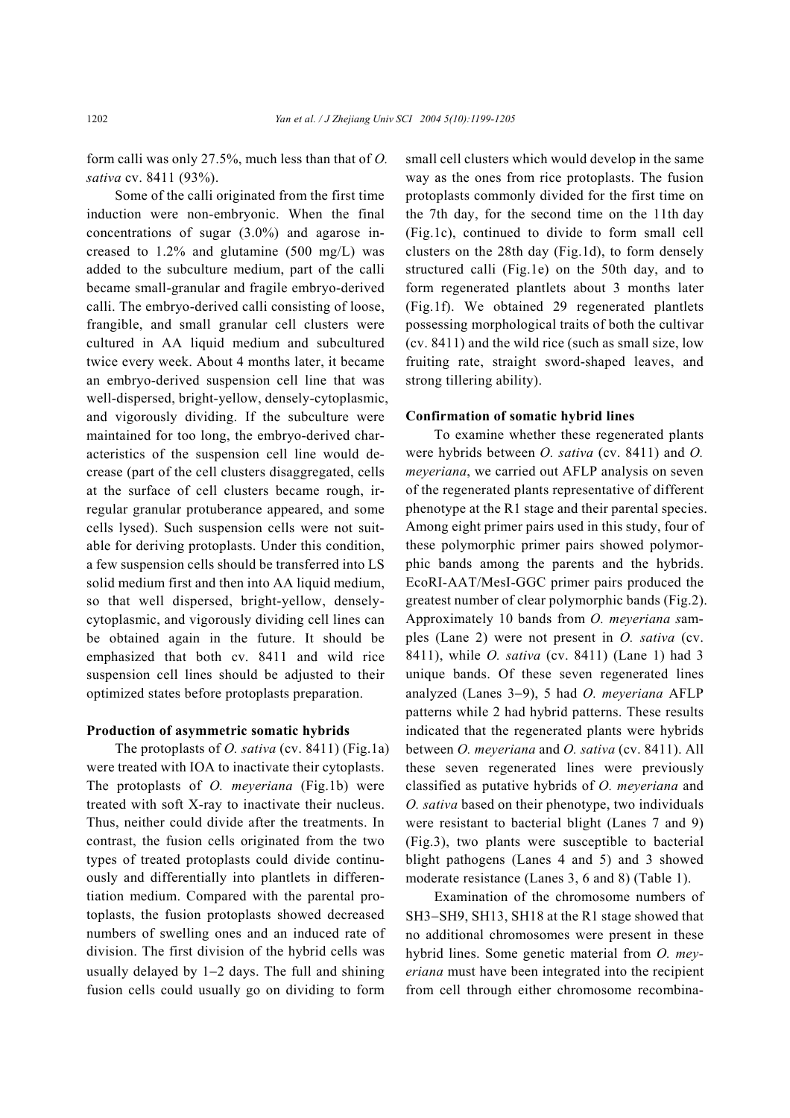form calli was only 27.5%, much less than that of *O. sativa* cv. 8411 (93%).

Some of the calli originated from the first time induction were non-embryonic. When the final concentrations of sugar (3.0%) and agarose increased to 1.2% and glutamine (500 mg/L) was added to the subculture medium, part of the calli became small-granular and fragile embryo-derived calli. The embryo-derived calli consisting of loose, frangible, and small granular cell clusters were cultured in AA liquid medium and subcultured twice every week. About 4 months later, it became an embryo-derived suspension cell line that was well-dispersed, bright-yellow, densely-cytoplasmic, and vigorously dividing. If the subculture were maintained for too long, the embryo-derived characteristics of the suspension cell line would decrease (part of the cell clusters disaggregated, cells at the surface of cell clusters became rough, irregular granular protuberance appeared, and some cells lysed). Such suspension cells were not suitable for deriving protoplasts. Under this condition, a few suspension cells should be transferred into LS solid medium first and then into AA liquid medium, so that well dispersed, bright-yellow, denselycytoplasmic, and vigorously dividing cell lines can be obtained again in the future. It should be emphasized that both cv. 8411 and wild rice suspension cell lines should be adjusted to their optimized states before protoplasts preparation.

### **Production of asymmetric somatic hybrids**

The protoplasts of *O. sativa* (cv. 8411) (Fig.1a) were treated with IOA to inactivate their cytoplasts. The protoplasts of *O. meyeriana* (Fig.1b) were treated with soft X-ray to inactivate their nucleus. Thus, neither could divide after the treatments. In contrast, the fusion cells originated from the two types of treated protoplasts could divide continuously and differentially into plantlets in differentiation medium. Compared with the parental protoplasts, the fusion protoplasts showed decreased numbers of swelling ones and an induced rate of division. The first division of the hybrid cells was usually delayed by 1−2 days. The full and shining fusion cells could usually go on dividing to form

small cell clusters which would develop in the same way as the ones from rice protoplasts. The fusion protoplasts commonly divided for the first time on the 7th day, for the second time on the 11th day (Fig.1c), continued to divide to form small cell clusters on the 28th day (Fig.1d), to form densely structured calli (Fig.1e) on the 50th day, and to form regenerated plantlets about 3 months later (Fig.1f). We obtained 29 regenerated plantlets possessing morphological traits of both the cultivar (cv. 8411) and the wild rice (such as small size, low fruiting rate, straight sword-shaped leaves, and strong tillering ability).

## **Confirmation of somatic hybrid lines**

To examine whether these regenerated plants were hybrids between *O. sativa* (cv. 8411) and *O. meyeriana*, we carried out AFLP analysis on seven of the regenerated plants representative of different phenotype at the R1 stage and their parental species. Among eight primer pairs used in this study, four of these polymorphic primer pairs showed polymorphic bands among the parents and the hybrids. EcoRI-AAT/MesI-GGC primer pairs produced the greatest number of clear polymorphic bands (Fig.2). Approximately 10 bands from *O. meyeriana s*amples (Lane 2) were not present in *O. sativa* (cv. 8411), while *O. sativa* (cv. 8411) (Lane 1) had 3 unique bands. Of these seven regenerated lines analyzed (Lanes 3−9), 5 had *O. meyeriana* AFLP patterns while 2 had hybrid patterns. These results indicated that the regenerated plants were hybrids between *O. meyeriana* and *O. sativa* (cv. 8411). All these seven regenerated lines were previously classified as putative hybrids of *O. meyeriana* and *O. sativa* based on their phenotype, two individuals were resistant to bacterial blight (Lanes 7 and 9) (Fig.3), two plants were susceptible to bacterial blight pathogens (Lanes 4 and 5) and 3 showed moderate resistance (Lanes 3, 6 and 8) (Table 1).

Examination of the chromosome numbers of SH3−SH9, SH13, SH18 at the R1 stage showed that no additional chromosomes were present in these hybrid lines. Some genetic material from *O. meyeriana* must have been integrated into the recipient from cell through either chromosome recombina-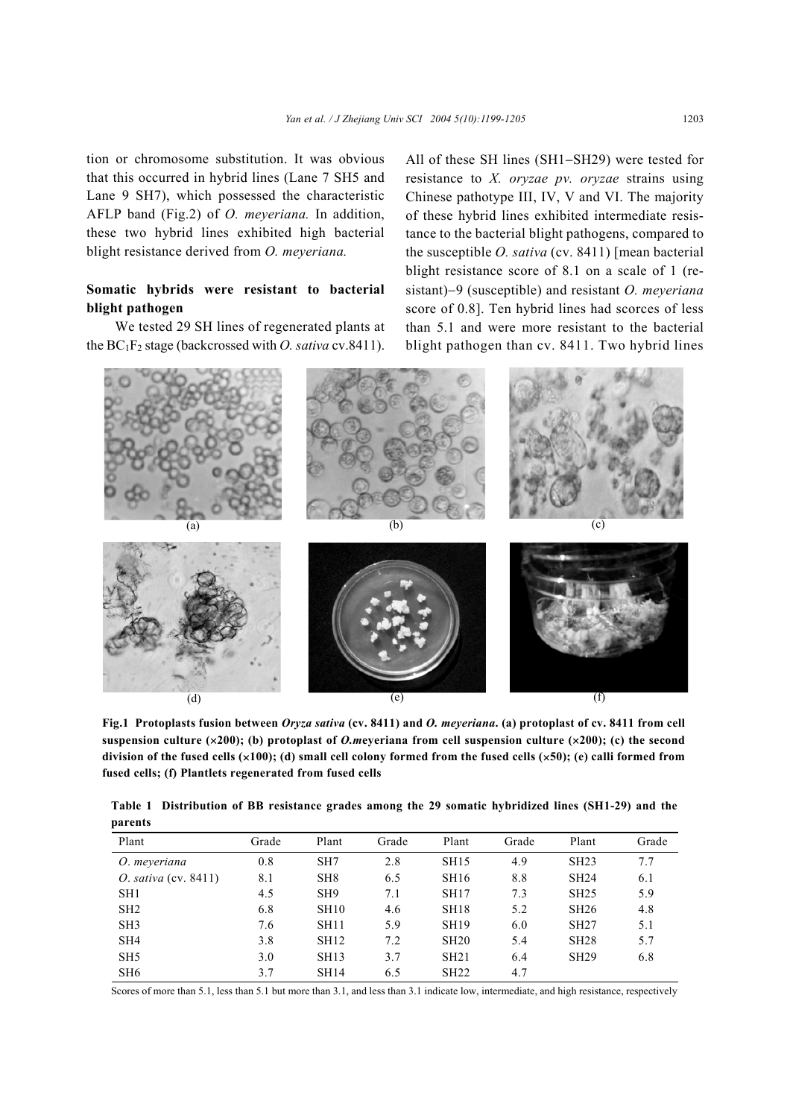tion or chromosome substitution. It was obvious that this occurred in hybrid lines (Lane 7 SH5 and Lane 9 SH7), which possessed the characteristic AFLP band (Fig.2) of *O. meyeriana.* In addition, these two hybrid lines exhibited high bacterial blight resistance derived from *O. meyeriana.* 

# **Somatic hybrids were resistant to bacterial blight pathogen**

We tested 29 SH lines of regenerated plants at the  $BC_1F_2$  stage (backcrossed with *O. sativa* cv.8411).

All of these SH lines (SH1−SH29) were tested for resistance to *X. oryzae pv. oryzae* strains using Chinese pathotype III, IV, V and VI. The majority of these hybrid lines exhibited intermediate resistance to the bacterial blight pathogens, compared to the susceptible *O. sativa* (cv. 8411) [mean bacterial blight resistance score of 8.1 on a scale of 1 (resistant)−9 (susceptible) and resistant *O. meyeriana* score of 0.8]. Ten hybrid lines had scorces of less than 5.1 and were more resistant to the bacterial blight pathogen than cv. 8411. Two hybrid lines



**Fig.1 Protoplasts fusion between** *Oryza sativa* **(cv. 8411) and** *O. meyeriana***. (a) protoplast of cv. 8411 from cell suspension culture (**×**200); (b) protoplast of** *O.m***eyeriana from cell suspension culture (**×**200); (c) the second division of the fused cells (**×**100); (d) small cell colony formed from the fused cells (**×**50); (e) calli formed from fused cells; (f) Plantlets regenerated from fused cells** 

|         | Table 1 Distribution of BB resistance grades among the 29 somatic hybridized lines (SH1-29) and the |  |  |  |  |  |
|---------|-----------------------------------------------------------------------------------------------------|--|--|--|--|--|
| parents |                                                                                                     |  |  |  |  |  |

| Plant                   | Grade | Plant           | Grade | Plant       | Grade | Plant | Grade |
|-------------------------|-------|-----------------|-------|-------------|-------|-------|-------|
| O. meyeriana            | 0.8   | SH <sub>7</sub> | 2.8   | <b>SH15</b> | 4.9   | SH23  | 7.7   |
| O. sativa (cv. $8411$ ) | 8.1   | SH <sub>8</sub> | 6.5   | SH16        | 8.8   | SH24  | 6.1   |
| SH <sub>1</sub>         | 4.5   | SH <sub>9</sub> | 7.1   | SH17        | 7.3   | SH25  | 5.9   |
| SH <sub>2</sub>         | 6.8   | <b>SH10</b>     | 4.6   | <b>SH18</b> | 5.2   | SH26  | 4.8   |
| SH <sub>3</sub>         | 7.6   | <b>SH11</b>     | 5.9   | <b>SH19</b> | 6.0   | SH27  | 5.1   |
| SH <sub>4</sub>         | 3.8   | SH12            | 7.2   | SH20        | 5.4   | SH28  | 5.7   |
| SH <sub>5</sub>         | 3.0   | SH13            | 3.7   | SH21        | 6.4   | SH29  | 6.8   |
| SH <sub>6</sub>         | 3.7   | <b>SH14</b>     | 6.5   | SH22        | 4.7   |       |       |

Scores of more than 5.1, less than 5.1 but more than 3.1, and less than 3.1 indicate low, intermediate, and high resistance, respectively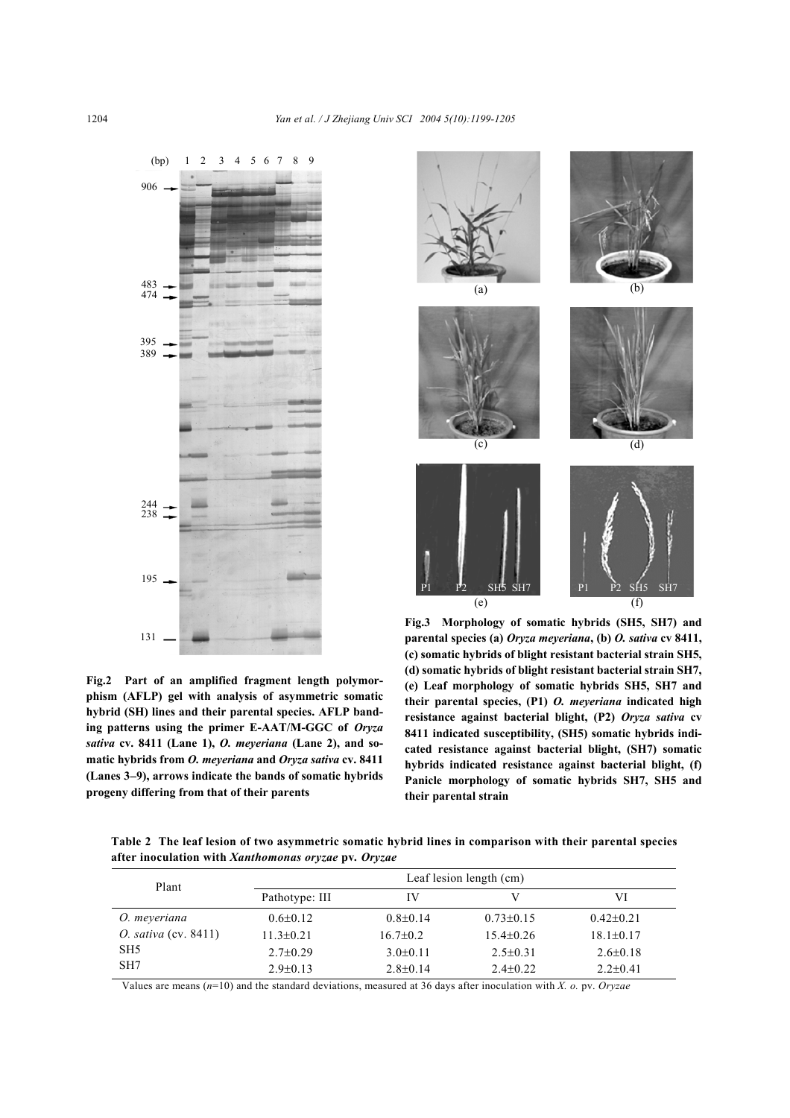

**Fig.2 Part of an amplified fragment length polymorphism (AFLP) gel with analysis of asymmetric somatic hybrid (SH) lines and their parental species. AFLP banding patterns using the primer E-AAT/M-GGC of** *Oryza sativa* **cv. 8411 (Lane 1),** *O. meyeriana* **(Lane 2), and somatic hybrids from** *O. meyeriana* **and** *Oryza sativa* **cv. 8411 (Lanes 3**−**9), arrows indicate the bands of somatic hybrids progeny differing from that of their parents** 



**Fig.3 Morphology of somatic hybrids (SH5, SH7) and parental species (a)** *Oryza meyeriana***, (b)** *O. sativa* **cv 8411, (c) somatic hybrids of blight resistant bacterial strain SH5, (d) somatic hybrids of blight resistant bacterial strain SH7, (e) Leaf morphology of somatic hybrids SH5, SH7 and their parental species, (P1)** *O. meyeriana* **indicated high resistance against bacterial blight, (P2)** *Oryza sativa* **cv 8411 indicated susceptibility, (SH5) somatic hybrids indicated resistance against bacterial blight, (SH7) somatic hybrids indicated resistance against bacterial blight, (f) Panicle morphology of somatic hybrids SH7, SH5 and their parental strain** 

**Table 2 The leaf lesion of two asymmetric somatic hybrid lines in comparison with their parental species after inoculation with** *Xanthomonas oryzae* **pv***. Oryzae*

| Plant                       | Leaf lesion length (cm) |                |                 |                 |  |  |  |
|-----------------------------|-------------------------|----------------|-----------------|-----------------|--|--|--|
|                             | Pathotype: III          | IV             |                 | VI              |  |  |  |
| O. meyeriana                | $0.6 \pm 0.12$          | $0.8 \pm 0.14$ | $0.73 \pm 0.15$ | $0.42 \pm 0.21$ |  |  |  |
| <i>O. sativa</i> (cv. 8411) | $11.3 \pm 0.21$         | $16.7 \pm 0.2$ | $15.4 \pm 0.26$ | $18.1 \pm 0.17$ |  |  |  |
| SH <sub>5</sub>             | $2.7 \pm 0.29$          | $3.0\pm0.11$   | $2.5 \pm 0.31$  | $2.6 \pm 0.18$  |  |  |  |
| SH <sub>7</sub>             | $2.9 \pm 0.13$          | $2.8 \pm 0.14$ | $2.4\pm 0.22$   | $2.2+0.41$      |  |  |  |

Values are means (*n*=10) and the standard deviations, measured at 36 days after inoculation with *X. o.* pv. *Oryzae*